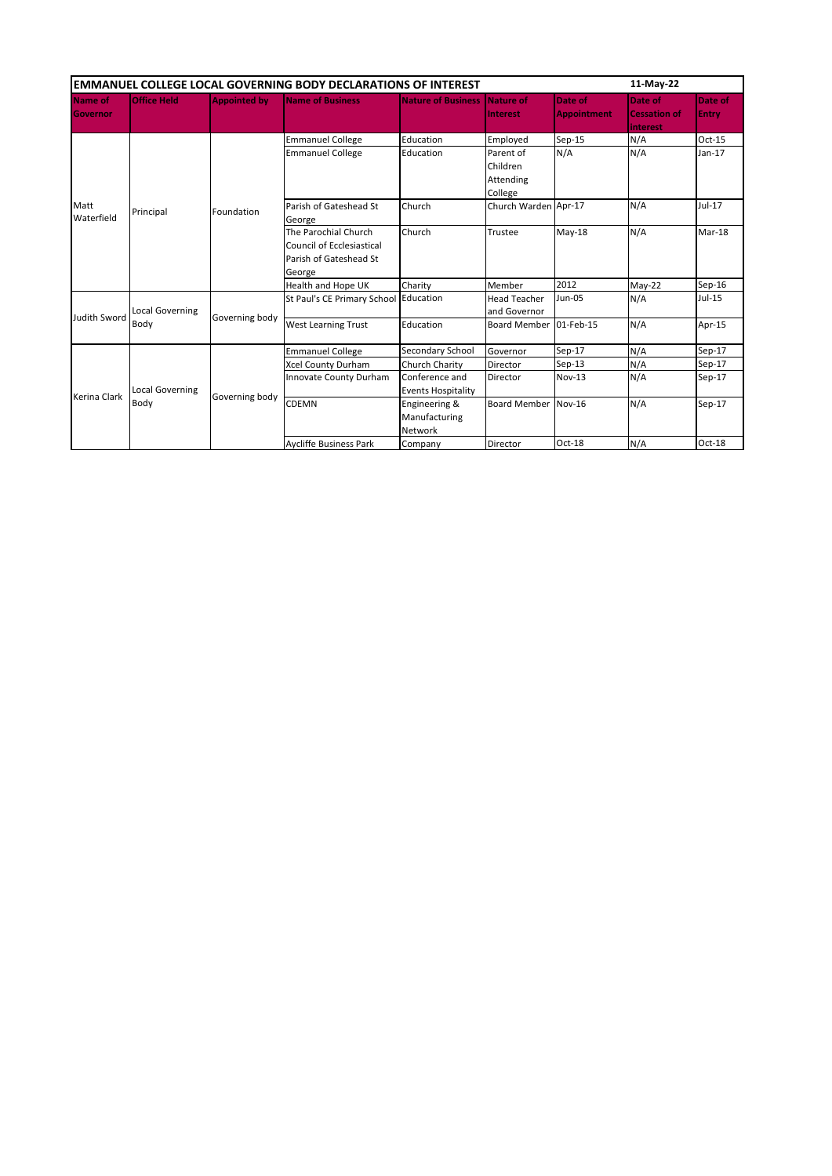| <b>EMMANUEL COLLEGE LOCAL GOVERNING BODY DECLARATIONS OF INTEREST</b> |                                |                     |                                                                                              |                                                  |                                               |                               |                                            | 11-May-22        |  |
|-----------------------------------------------------------------------|--------------------------------|---------------------|----------------------------------------------------------------------------------------------|--------------------------------------------------|-----------------------------------------------|-------------------------------|--------------------------------------------|------------------|--|
| Name of<br>Governor                                                   | <b>Office Held</b>             | <b>Appointed by</b> | <b>Name of Business</b>                                                                      | <b>Nature of Business</b>                        | <b>Nature of</b><br><b>Interest</b>           | Date of<br><b>Appointment</b> | Date of<br><b>Cessation of</b><br>interest | Date of<br>Entry |  |
| Matt<br>Waterfield                                                    | Principal                      | Foundation          | <b>Emmanuel College</b>                                                                      | Education                                        | Employed                                      | $Sep-15$                      | N/A                                        | $Oct-15$         |  |
|                                                                       |                                |                     | <b>Emmanuel College</b>                                                                      | Education                                        | Parent of<br>Children<br>Attending<br>College | N/A                           | N/A                                        | $Jan-17$         |  |
|                                                                       |                                |                     | Parish of Gateshead St<br>George                                                             | Church                                           | Church Warden Apr-17                          |                               | N/A                                        | Jul-17           |  |
|                                                                       |                                |                     | The Parochial Church<br><b>Council of Ecclesiastical</b><br>Parish of Gateshead St<br>George | Church                                           | Trustee                                       | May-18                        | N/A                                        | Mar-18           |  |
|                                                                       |                                |                     | Health and Hope UK                                                                           | Charity                                          | Member                                        | 2012                          | $May-22$                                   | $Sep-16$         |  |
| Judith Sword                                                          | <b>Local Governing</b><br>Body | Governing body      | St Paul's CE Primary School                                                                  | Education                                        | <b>Head Teacher</b><br>and Governor           | Jun-05                        | N/A                                        | Jul-15           |  |
|                                                                       |                                |                     | <b>West Learning Trust</b>                                                                   | Education                                        | <b>Board Member</b>                           | 01-Feb-15                     | N/A                                        | Apr-15           |  |
| Kerina Clark                                                          | <b>Local Governing</b><br>Body | Governing body      | <b>Emmanuel College</b>                                                                      | Secondary School                                 | Governor                                      | $Sep-17$                      | N/A                                        | $Sep-17$         |  |
|                                                                       |                                |                     | <b>Xcel County Durham</b>                                                                    | Church Charity                                   | Director                                      | $Sep-13$                      | N/A                                        | $Sep-17$         |  |
|                                                                       |                                |                     | Innovate County Durham                                                                       | Conference and<br><b>Events Hospitality</b>      | Director                                      | Nov-13                        | N/A                                        | $Sep-17$         |  |
|                                                                       |                                |                     | CDEMN                                                                                        | Engineering &<br>Manufacturing<br><b>Network</b> | <b>Board Member</b>                           | <b>Nov-16</b>                 | N/A                                        | Sep-17           |  |
|                                                                       |                                |                     | <b>Avcliffe Business Park</b>                                                                | Company                                          | Director                                      | Oct-18                        | N/A                                        | Oct-18           |  |